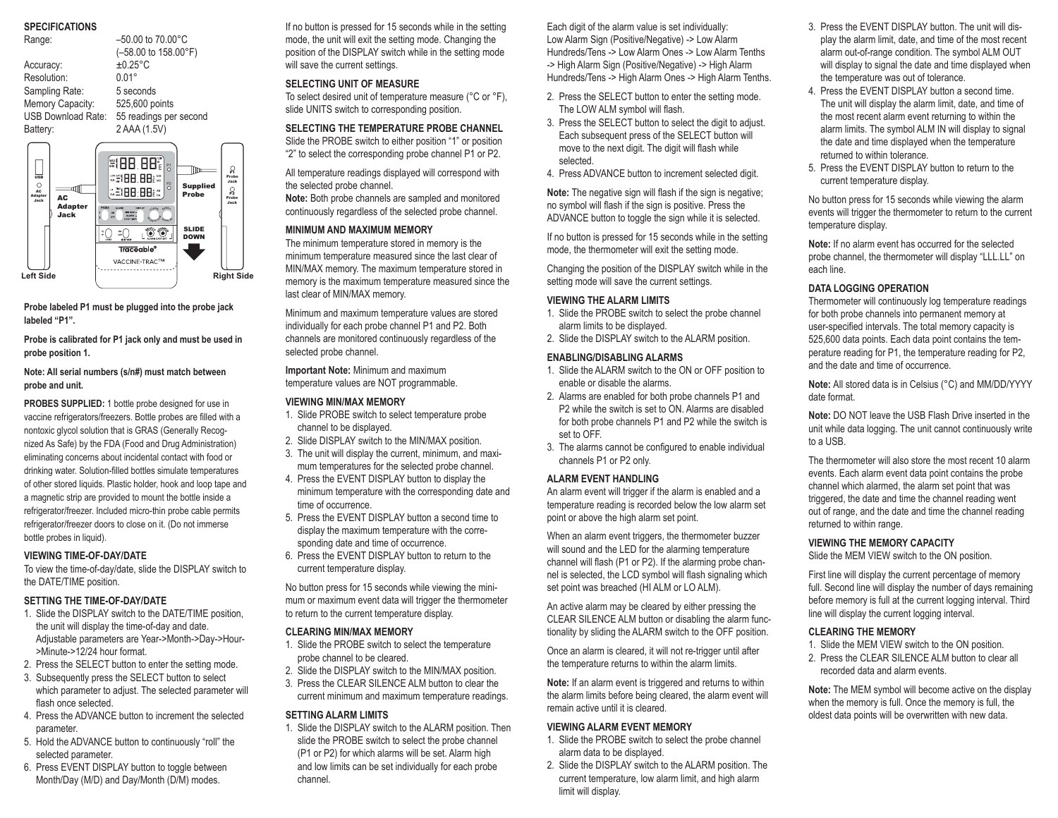# **SPECIFICATIONS**

| ur Luii Iumi Iuliu                                                                             |                                                                                                                                                                                                                     |                                                                                                              |
|------------------------------------------------------------------------------------------------|---------------------------------------------------------------------------------------------------------------------------------------------------------------------------------------------------------------------|--------------------------------------------------------------------------------------------------------------|
| Range:                                                                                         | $-50.00$ to 70.00 $^{\circ}$ C                                                                                                                                                                                      |                                                                                                              |
|                                                                                                | (-58.00 to 158.00°F)                                                                                                                                                                                                |                                                                                                              |
| Accuracy:                                                                                      | $±0.25$ °C                                                                                                                                                                                                          |                                                                                                              |
| Resolution:                                                                                    | $0.01^{\circ}$                                                                                                                                                                                                      |                                                                                                              |
| Sampling Rate:                                                                                 | 5 seconds                                                                                                                                                                                                           |                                                                                                              |
|                                                                                                | Memory Capacity: 525,600 points                                                                                                                                                                                     |                                                                                                              |
|                                                                                                | USB Download Rate: 55 readings per second                                                                                                                                                                           |                                                                                                              |
|                                                                                                | 2 AAA (1.5V)                                                                                                                                                                                                        |                                                                                                              |
| Battery:                                                                                       |                                                                                                                                                                                                                     |                                                                                                              |
| <b>USB</b><br>Ο<br>বা∏<br>AC.<br><b>Adapter</b><br>AC<br>Jack<br><b>Adapter</b><br><b>Jack</b> | #188.887<br>$^{P1}_{O}$<br><b>*#88.88</b><br>$\overline{O}$<br>**188.88 **<br><b>FRORE</b><br>11885<br>CLEAN EVENT<br><b>ON</b><br><b>OFF</b><br>FACE A CHEANT<br><b>DATE TIME-</b><br>œ.<br>Traceable <sup>®</sup> | ្អ<br>lTm<br>Probe<br>Jack<br><b>Supplied</b><br>္အ<br>Probe<br>Probe<br>Jack<br><b>SLIDE</b><br><b>DOWN</b> |
|                                                                                                | VACCINE-TRAC™                                                                                                                                                                                                       |                                                                                                              |
| <b>Left Side</b>                                                                               |                                                                                                                                                                                                                     |                                                                                                              |
|                                                                                                |                                                                                                                                                                                                                     | <b>Right Side</b>                                                                                            |

**Probe labeled P1 must be plugged into the probe jack labeled "P1".**

**Probe is calibrated for P1 jack only and must be used in probe position 1.**

**Note: All serial numbers (s/n#) must match between probe and unit.**

**PROBES SUPPLIED:** 1 bottle probe designed for use in vaccine refrigerators/freezers. Bottle probes are filled with a nontoxic glycol solution that is GRAS (Generally Recognized As Safe) by the FDA (Food and Drug Administration) eliminating concerns about incidental contact with food or drinking water. Solution-filled bottles simulate temperatures of other stored liquids. Plastic holder, hook and loop tape and a magnetic strip are provided to mount the bottle inside a refrigerator/freezer. Included micro-thin probe cable permits refrigerator/freezer doors to close on it. (Do not immerse bottle probes in liquid).

### **VIEWING TIME-OF-DAY/DATE**

To view the time-of-day/date, slide the DISPLAY switch to the DATE/TIME position.

#### **SETTING THE TIME-OF-DAY/DATE**

- 1. Slide the DISPLAY switch to the DATE/TIME position, the unit will display the time-of-day and date. Adjustable parameters are Year->Month->Day->Hour- >Minute->12/24 hour format.
- 2. Press the SELECT button to enter the setting mode.
- 3. Subsequently press the SELECT button to select which parameter to adjust. The selected parameter will flash once selected.
- 4. Press the ADVANCE button to increment the selected parameter.
- 5. Hold the ADVANCE button to continuously "roll" the selected parameter.
- 6. Press EVENT DISPLAY button to toggle between Month/Day (M/D) and Day/Month (D/M) modes.

If no button is pressed for 15 seconds while in the setting mode, the unit will exit the setting mode. Changing the position of the DISPLAY switch while in the setting mode will save the current settings.

### **SELECTING UNIT OF MEASURE**

To select desired unit of temperature measure (°C or °F), slide UNITS switch to corresponding position.

**SELECTING THE TEMPERATURE PROBE CHANNEL** Slide the PROBE switch to either position "1" or position "2" to select the corresponding probe channel P1 or P2.

All temperature readings displayed will correspond with the selected probe channel. **Note:** Both probe channels are sampled and monitored

continuously regardless of the selected probe channel.

## **MINIMUM AND MAXIMUM MEMORY**

The minimum temperature stored in memory is the minimum temperature measured since the last clear of MIN/MAX memory. The maximum temperature stored in memory is the maximum temperature measured since the last clear of MIN/MAX memory.

Minimum and maximum temperature values are stored individually for each probe channel P1 and P2. Both channels are monitored continuously regardless of the selected probe channel.

**Important Note:** Minimum and maximum temperature values are NOT programmable.

## **VIEWING MIN/MAX MEMORY**

- 1. Slide PROBE switch to select temperature probe channel to be displayed.
- 2. Slide DISPLAY switch to the MIN/MAX position.
- 3. The unit will display the current, minimum, and maximum temperatures for the selected probe channel.
- 4. Press the EVENT DISPLAY button to display the minimum temperature with the corresponding date and time of occurrence.
- 5. Press the EVENT DISPLAY button a second time to display the maximum temperature with the corresponding date and time of occurrence.
- 6. Press the EVENT DISPLAY button to return to the current temperature display.

No button press for 15 seconds while viewing the minimum or maximum event data will trigger the thermometer to return to the current temperature display.

#### **CLEARING MIN/MAX MEMORY**

- 1. Slide the PROBE switch to select the temperature probe channel to be cleared.
- 2. Slide the DISPLAY switch to the MIN/MAX position.
- 3. Press the CLEAR SILENCE ALM button to clear the current minimum and maximum temperature readings.

#### **SETTING ALARM LIMITS**

1. Slide the DISPLAY switch to the ALARM position. Then slide the PROBE switch to select the probe channel (P1 or P2) for which alarms will be set. Alarm high and low limits can be set individually for each probe channel.

Each digit of the alarm value is set individually: Low Alarm Sign (Positive/Negative) -> Low Alarm Hundreds/Tens -> Low Alarm Ones -> Low Alarm Tenths -> High Alarm Sign (Positive/Negative) -> High Alarm Hundreds/Tens -> High Alarm Ones -> High Alarm Tenths.

- 2. Press the SELECT button to enter the setting mode. The LOW ALM symbol will flash.
- 3. Press the SELECT button to select the digit to adjust. Each subsequent press of the SELECT button will move to the next digit. The digit will flash while selected.
- 4. Press ADVANCE button to increment selected digit.

**Note:** The negative sign will flash if the sign is negative; no symbol will flash if the sign is positive. Press the ADVANCE button to toggle the sign while it is selected.

If no button is pressed for 15 seconds while in the setting mode, the thermometer will exit the setting mode.

Changing the position of the DISPLAY switch while in the setting mode will save the current settings.

#### **VIEWING THE ALARM LIMITS**

- 1. Slide the PROBE switch to select the probe channel alarm limits to be displayed.
- 2. Slide the DISPLAY switch to the ALARM position.

## **ENABLING/DISABLING ALARMS**

- 1. Slide the ALARM switch to the ON or OFF position to enable or disable the alarms.
- 2. Alarms are enabled for both probe channels P1 and P2 while the switch is set to ON. Alarms are disabled for both probe channels P1 and P2 while the switch is set to OFF.
- 3. The alarms cannot be configured to enable individual channels P1 or P2 only.

# **ALARM EVENT HANDLING**

An alarm event will trigger if the alarm is enabled and a temperature reading is recorded below the low alarm set point or above the high alarm set point.

When an alarm event triggers, the thermometer buzzer will sound and the LED for the alarming temperature channel will flash (P1 or P2). If the alarming probe channel is selected, the LCD symbol will flash signaling which set point was breached (HI ALM or LO ALM).

An active alarm may be cleared by either pressing the CLEAR SILENCE ALM button or disabling the alarm functionality by sliding the ALARM switch to the OFF position.

Once an alarm is cleared, it will not re-trigger until after the temperature returns to within the alarm limits.

**Note:** If an alarm event is triggered and returns to within the alarm limits before being cleared, the alarm event will remain active until it is cleared.

#### **VIEWING ALARM EVENT MEMORY**

- 1. Slide the PROBE switch to select the probe channel alarm data to be displayed.
- 2. Slide the DISPLAY switch to the ALARM position. The current temperature, low alarm limit, and high alarm limit will display.
- 3. Press the EVENT DISPLAY button. The unit will display the alarm limit, date, and time of the most recent alarm out-of-range condition. The symbol ALM OUT will display to signal the date and time displayed when the temperature was out of tolerance.
- 4. Press the EVENT DISPLAY button a second time. The unit will display the alarm limit, date, and time of the most recent alarm event returning to within the alarm limits. The symbol ALM IN will display to signal the date and time displayed when the temperature returned to within tolerance.
- 5. Press the EVENT DISPLAY button to return to the current temperature display.

No button press for 15 seconds while viewing the alarm events will trigger the thermometer to return to the current temperature display.

**Note:** If no alarm event has occurred for the selected probe channel, the thermometer will display "LLL.LL" on each line.

#### **DATA LOGGING OPERATION**

Thermometer will continuously log temperature readings for both probe channels into permanent memory at user-specified intervals. The total memory capacity is 525,600 data points. Each data point contains the temperature reading for P1, the temperature reading for P2, and the date and time of occurrence.

**Note:** All stored data is in Celsius (°C) and MM/DD/YYYY date format.

**Note:** DO NOT leave the USB Flash Drive inserted in the unit while data logging. The unit cannot continuously write to a USB.

The thermometer will also store the most recent 10 alarm events. Each alarm event data point contains the probe channel which alarmed, the alarm set point that was triggered, the date and time the channel reading went out of range, and the date and time the channel reading returned to within range.

### **VIEWING THE MEMORY CAPACITY**

Slide the MEM VIEW switch to the ON position.

First line will display the current percentage of memory full. Second line will display the number of days remaining before memory is full at the current logging interval. Third line will display the current logging interval.

#### **CLEARING THE MEMORY**

- 1. Slide the MEM VIEW switch to the ON position.
- 2. Press the CLEAR SILENCE ALM button to clear all recorded data and alarm events.

**Note:** The MEM symbol will become active on the display when the memory is full. Once the memory is full, the oldest data points will be overwritten with new data.